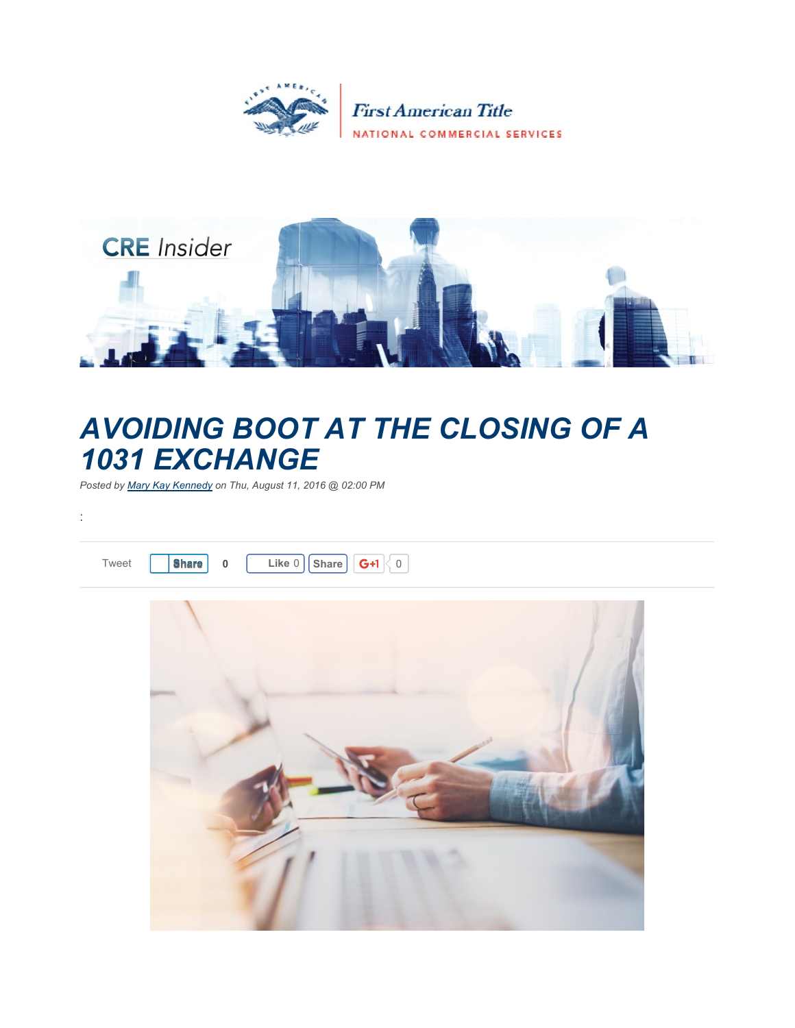



## *AVOIDING BOOT AT THE CLOSING OF A 1031 EXCHANGE*

*Posted by Mary Kay Kennedy on Thu, August 11, 2016 @ 02:00 PM*